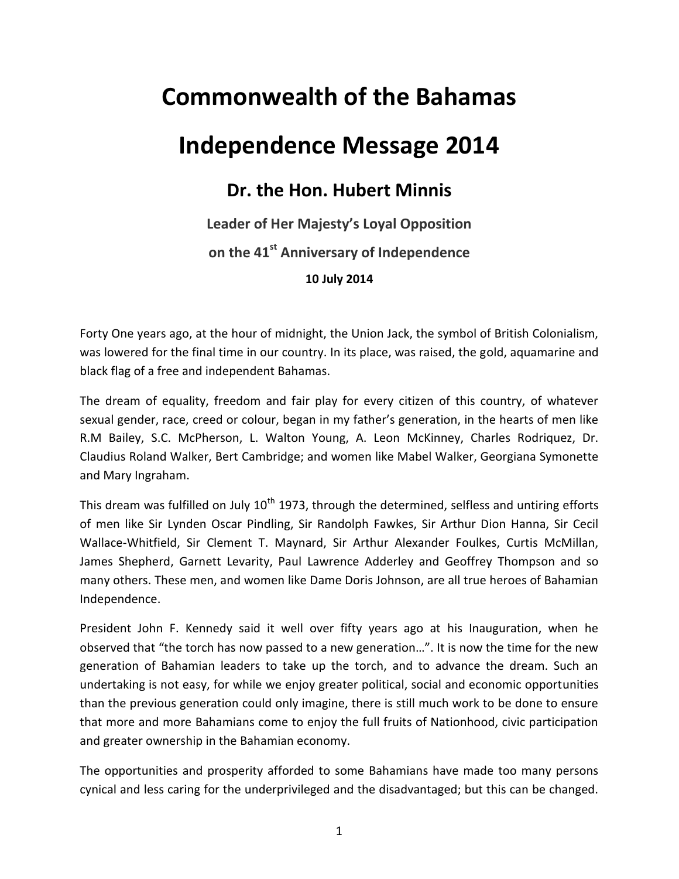## **Commonwealth of the Bahamas**

## **Independence Message 2014**

## **Dr. the Hon. Hubert Minnis**

## **Leader of Her Majesty's Loyal Opposition on the 41st Anniversary of Independence 10 July 2014**

Forty One years ago, at the hour of midnight, the Union Jack, the symbol of British Colonialism, was lowered for the final time in our country. In its place, was raised, the gold, aquamarine and black flag of a free and independent Bahamas.

The dream of equality, freedom and fair play for every citizen of this country, of whatever sexual gender, race, creed or colour, began in my father's generation, in the hearts of men like R.M Bailey, S.C. McPherson, L. Walton Young, A. Leon McKinney, Charles Rodriquez, Dr. Claudius Roland Walker, Bert Cambridge; and women like Mabel Walker, Georgiana Symonette and Mary Ingraham.

This dream was fulfilled on July  $10<sup>th</sup>$  1973, through the determined, selfless and untiring efforts of men like Sir Lynden Oscar Pindling, Sir Randolph Fawkes, Sir Arthur Dion Hanna, Sir Cecil Wallace-Whitfield, Sir Clement T. Maynard, Sir Arthur Alexander Foulkes, Curtis McMillan, James Shepherd, Garnett Levarity, Paul Lawrence Adderley and Geoffrey Thompson and so many others. These men, and women like Dame Doris Johnson, are all true heroes of Bahamian Independence.

President John F. Kennedy said it well over fifty years ago at his Inauguration, when he observed that "the torch has now passed to a new generation…". It is now the time for the new generation of Bahamian leaders to take up the torch, and to advance the dream. Such an undertaking is not easy, for while we enjoy greater political, social and economic opportunities than the previous generation could only imagine, there is still much work to be done to ensure that more and more Bahamians come to enjoy the full fruits of Nationhood, civic participation and greater ownership in the Bahamian economy.

The opportunities and prosperity afforded to some Bahamians have made too many persons cynical and less caring for the underprivileged and the disadvantaged; but this can be changed.